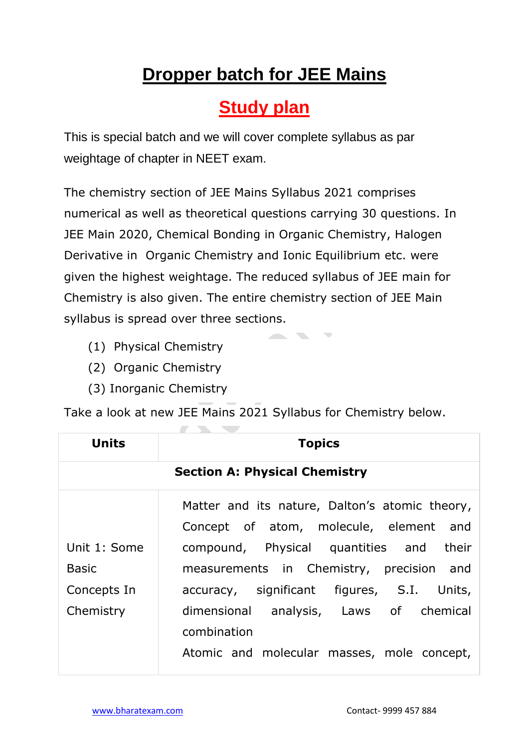## **Dropper batch for JEE Mains**

## **Study plan**

This is special batch and we will cover complete syllabus as par weightage of chapter in NEET exam.

The chemistry section of JEE Mains Syllabus 2021 comprises numerical as well as theoretical questions carrying 30 questions. In JEE Main 2020, Chemical Bonding in Organic Chemistry, Halogen Derivative in Organic Chemistry and Ionic Equilibrium etc. were given the highest weightage. The reduced syllabus of JEE main for Chemistry is also given. The entire chemistry section of JEE Main syllabus is spread over three sections.

 $\overline{\mathcal{N}}$ 

- (1) Physical Chemistry
- (2) Organic Chemistry
- (3) Inorganic Chemistry

Take a look at new JEE Mains 2021 Syllabus for Chemistry below.

| <b>Units</b> | <b>Topics</b>                                  |
|--------------|------------------------------------------------|
|              | <b>Section A: Physical Chemistry</b>           |
|              | Matter and its nature, Dalton's atomic theory, |
|              | Concept of atom, molecule, element and         |
| Unit 1: Some | compound, Physical quantities and their        |
| <b>Basic</b> | measurements in Chemistry, precision and       |
| Concepts In  | accuracy, significant figures, S.I. Units,     |
| Chemistry    | dimensional analysis, Laws of chemical         |
|              | combination                                    |
|              | Atomic and molecular masses, mole concept,     |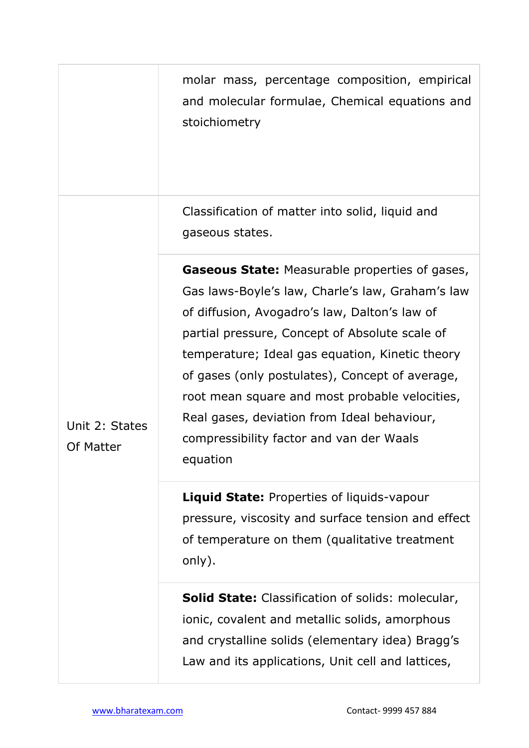|                             | molar mass, percentage composition, empirical<br>and molecular formulae, Chemical equations and<br>stoichiometry                                                                                                                                                                                                                                                                                                                                                            |
|-----------------------------|-----------------------------------------------------------------------------------------------------------------------------------------------------------------------------------------------------------------------------------------------------------------------------------------------------------------------------------------------------------------------------------------------------------------------------------------------------------------------------|
| Unit 2: States<br>Of Matter | Classification of matter into solid, liquid and<br>gaseous states.                                                                                                                                                                                                                                                                                                                                                                                                          |
|                             | <b>Gaseous State:</b> Measurable properties of gases,<br>Gas laws-Boyle's law, Charle's law, Graham's law<br>of diffusion, Avogadro's law, Dalton's law of<br>partial pressure, Concept of Absolute scale of<br>temperature; Ideal gas equation, Kinetic theory<br>of gases (only postulates), Concept of average,<br>root mean square and most probable velocities,<br>Real gases, deviation from Ideal behaviour,<br>compressibility factor and van der Waals<br>equation |
|                             | <b>Liquid State: Properties of liquids-vapour</b><br>pressure, viscosity and surface tension and effect<br>of temperature on them (qualitative treatment<br>only).                                                                                                                                                                                                                                                                                                          |
|                             | <b>Solid State:</b> Classification of solids: molecular,<br>ionic, covalent and metallic solids, amorphous<br>and crystalline solids (elementary idea) Bragg's<br>Law and its applications, Unit cell and lattices,                                                                                                                                                                                                                                                         |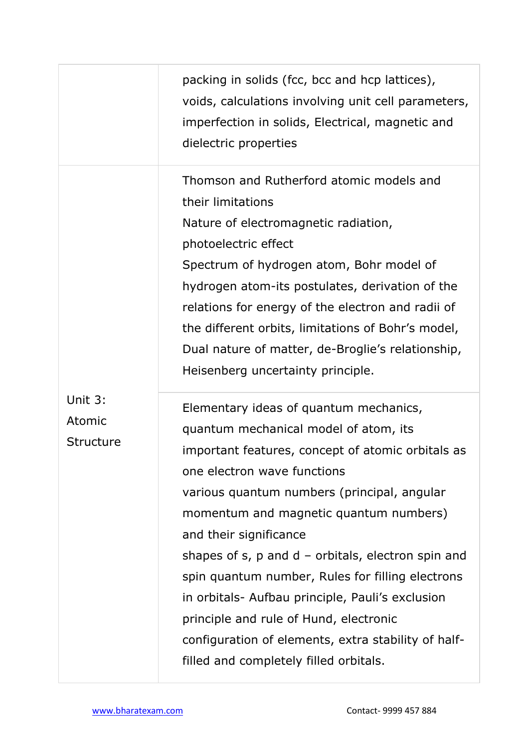|                                | packing in solids (fcc, bcc and hcp lattices),<br>voids, calculations involving unit cell parameters,<br>imperfection in solids, Electrical, magnetic and<br>dielectric properties                                                                                                                                                                                                                                                                                                                                                                                                                     |
|--------------------------------|--------------------------------------------------------------------------------------------------------------------------------------------------------------------------------------------------------------------------------------------------------------------------------------------------------------------------------------------------------------------------------------------------------------------------------------------------------------------------------------------------------------------------------------------------------------------------------------------------------|
|                                | Thomson and Rutherford atomic models and<br>their limitations<br>Nature of electromagnetic radiation,<br>photoelectric effect<br>Spectrum of hydrogen atom, Bohr model of<br>hydrogen atom-its postulates, derivation of the<br>relations for energy of the electron and radii of<br>the different orbits, limitations of Bohr's model,<br>Dual nature of matter, de-Broglie's relationship,<br>Heisenberg uncertainty principle.                                                                                                                                                                      |
| Unit 3:<br>Atomic<br>Structure | Elementary ideas of quantum mechanics,<br>quantum mechanical model of atom, its<br>important features, concept of atomic orbitals as<br>one electron wave functions<br>various quantum numbers (principal, angular<br>momentum and magnetic quantum numbers)<br>and their significance<br>shapes of $s$ , $p$ and $d$ – orbitals, electron spin and<br>spin quantum number, Rules for filling electrons<br>in orbitals- Aufbau principle, Pauli's exclusion<br>principle and rule of Hund, electronic<br>configuration of elements, extra stability of half-<br>filled and completely filled orbitals. |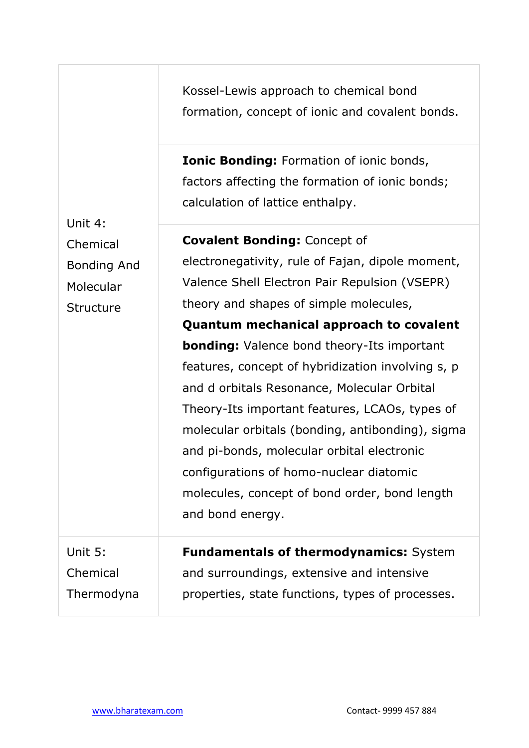Kossel-Lewis approach to chemical bond formation, concept of ionic and covalent bonds.

**Ionic Bonding:** Formation of ionic bonds, factors affecting the formation of ionic bonds; calculation of lattice enthalpy.

**Covalent Bonding:** Concept of electronegativity, rule of Fajan, dipole moment, Valence Shell Electron Pair Repulsion (VSEPR) theory and shapes of simple molecules, **Quantum mechanical approach to covalent bonding:** Valence bond theory-Its important features, concept of hybridization involving s, p and d orbitals Resonance, Molecular Orbital Theory-Its important features, LCAOs, types of molecular orbitals (bonding, antibonding), sigma and pi-bonds, molecular orbital electronic configurations of homo-nuclear diatomic molecules, concept of bond order, bond length and bond energy.

Unit 5: Chemical Thermodyna

Unit 4:

Chemical

Molecular

**Structure** 

Bonding And

**Fundamentals of thermodynamics:** System and surroundings, extensive and intensive properties, state functions, types of processes.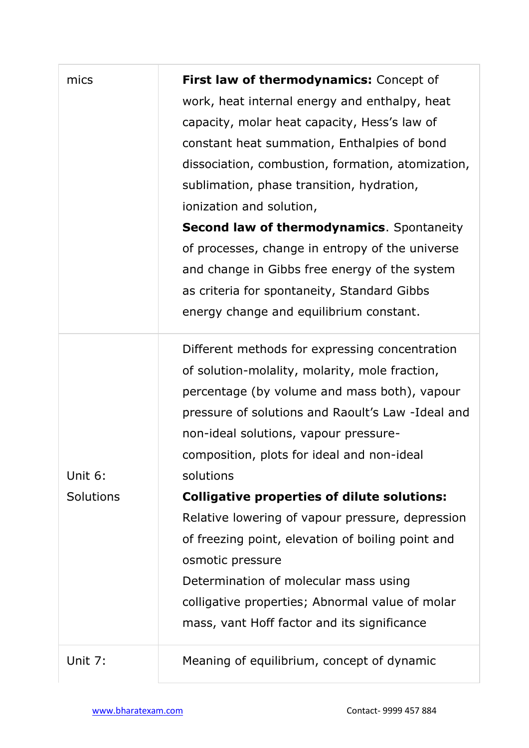| mics      | First law of thermodynamics: Concept of<br>work, heat internal energy and enthalpy, heat<br>capacity, molar heat capacity, Hess's law of<br>constant heat summation, Enthalpies of bond<br>dissociation, combustion, formation, atomization,<br>sublimation, phase transition, hydration,<br>ionization and solution,<br><b>Second law of thermodynamics.</b> Spontaneity<br>of processes, change in entropy of the universe |
|-----------|------------------------------------------------------------------------------------------------------------------------------------------------------------------------------------------------------------------------------------------------------------------------------------------------------------------------------------------------------------------------------------------------------------------------------|
|           | and change in Gibbs free energy of the system<br>as criteria for spontaneity, Standard Gibbs<br>energy change and equilibrium constant.                                                                                                                                                                                                                                                                                      |
| Unit 6:   | Different methods for expressing concentration<br>of solution-molality, molarity, mole fraction,<br>percentage (by volume and mass both), vapour<br>pressure of solutions and Raoult's Law -Ideal and<br>non-ideal solutions, vapour pressure-<br>composition, plots for ideal and non-ideal<br>solutions                                                                                                                    |
| Solutions | <b>Colligative properties of dilute solutions:</b>                                                                                                                                                                                                                                                                                                                                                                           |
|           | Relative lowering of vapour pressure, depression<br>of freezing point, elevation of boiling point and<br>osmotic pressure<br>Determination of molecular mass using<br>colligative properties; Abnormal value of molar<br>mass, vant Hoff factor and its significance                                                                                                                                                         |
| Unit 7:   | Meaning of equilibrium, concept of dynamic                                                                                                                                                                                                                                                                                                                                                                                   |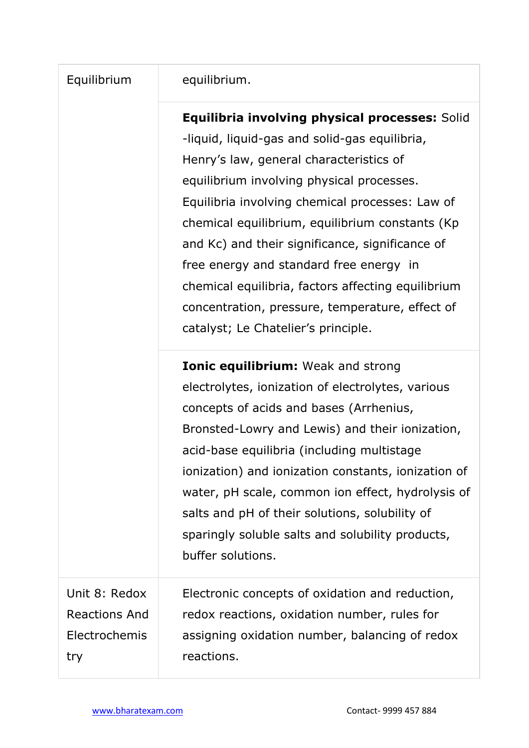## Equilibrium equilibrium.

**Equilibria involving physical processes:** Solid -liquid, liquid-gas and solid-gas equilibria, Henry's law, general characteristics of equilibrium involving physical processes. Equilibria involving chemical processes: Law of chemical equilibrium, equilibrium constants (Kp and Kc) and their significance, significance of free energy and standard free energy in chemical equilibria, factors affecting equilibrium concentration, pressure, temperature, effect of catalyst; Le Chatelier's principle.

**Ionic equilibrium:** Weak and strong electrolytes, ionization of electrolytes, various concepts of acids and bases (Arrhenius, Bronsted-Lowry and Lewis) and their ionization, acid-base equilibria (including multistage ionization) and ionization constants, ionization of water, pH scale, common ion effect, hydrolysis of salts and pH of their solutions, solubility of sparingly soluble salts and solubility products, buffer solutions.

Unit 8: Redox Reactions And Electrochemis try

Electronic concepts of oxidation and reduction, redox reactions, oxidation number, rules for assigning oxidation number, balancing of redox reactions.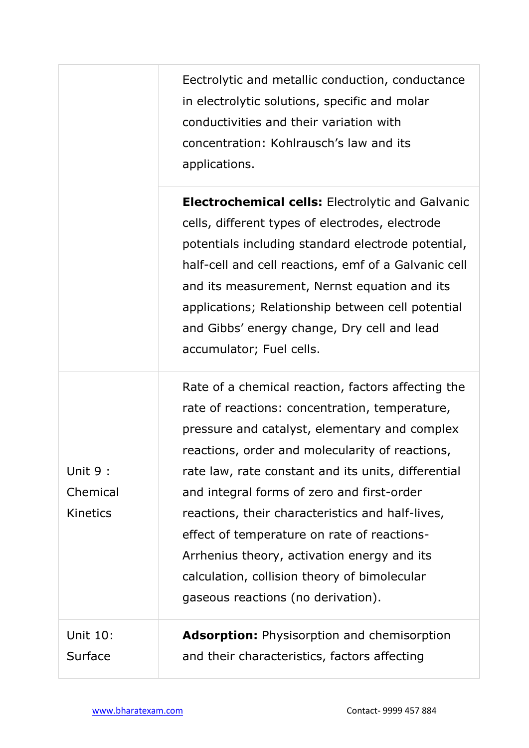Eectrolytic and metallic conduction, conductance in electrolytic solutions, specific and molar conductivities and their variation with concentration: Kohlrausch's law and its applications.

**Electrochemical cells:** Electrolytic and Galvanic cells, different types of electrodes, electrode potentials including standard electrode potential, half-cell and cell reactions, emf of a Galvanic cell and its measurement, Nernst equation and its applications; Relationship between cell potential and Gibbs' energy change, Dry cell and lead accumulator; Fuel cells.

Rate of a chemical reaction, factors affecting the rate of reactions: concentration, temperature, pressure and catalyst, elementary and complex reactions, order and molecularity of reactions, rate law, rate constant and its units, differential and integral forms of zero and first-order reactions, their characteristics and half-lives, effect of temperature on rate of reactions-Arrhenius theory, activation energy and its calculation, collision theory of bimolecular gaseous reactions (no derivation).

Unit 10: Surface **Adsorption:** Physisorption and chemisorption and their characteristics, factors affecting

Unit 9 :

Chemical

Kinetics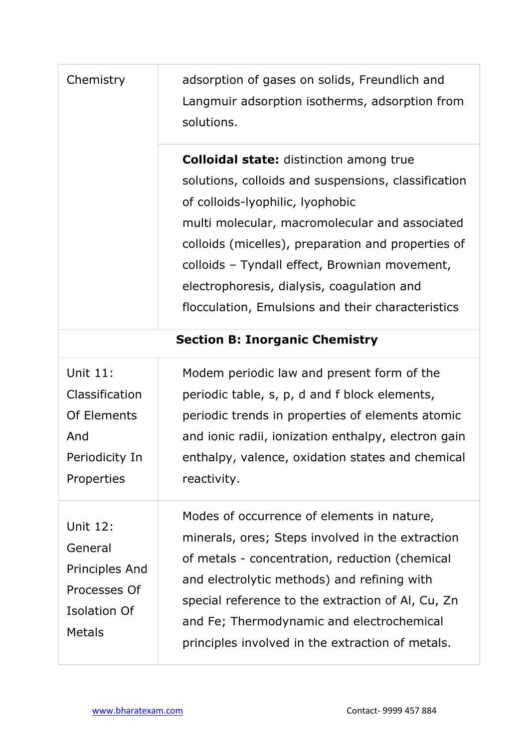| Chemistry                                                                                     | adsorption of gases on solids, Freundlich and<br>Langmuir adsorption isotherms, adsorption from<br>solutions.                                                                                                                                                                                                                                                                                         |  |
|-----------------------------------------------------------------------------------------------|-------------------------------------------------------------------------------------------------------------------------------------------------------------------------------------------------------------------------------------------------------------------------------------------------------------------------------------------------------------------------------------------------------|--|
|                                                                                               | <b>Colloidal state:</b> distinction among true<br>solutions, colloids and suspensions, classification<br>of colloids-lyophilic, lyophobic<br>multi molecular, macromolecular and associated<br>colloids (micelles), preparation and properties of<br>colloids - Tyndall effect, Brownian movement,<br>electrophoresis, dialysis, coagulation and<br>flocculation, Emulsions and their characteristics |  |
| <b>Section B: Inorganic Chemistry</b>                                                         |                                                                                                                                                                                                                                                                                                                                                                                                       |  |
| Unit 11:<br>Classification<br>Of Elements<br>And<br>Periodicity In<br>Properties              | Modem periodic law and present form of the<br>periodic table, s, p, d and f block elements,<br>periodic trends in properties of elements atomic<br>and ionic radii, ionization enthalpy, electron gain<br>enthalpy, valence, oxidation states and chemical<br>reactivity.                                                                                                                             |  |
| <b>Unit 12:</b><br>General<br>Principles And<br>Processes Of<br>Isolation Of<br><b>Metals</b> | Modes of occurrence of elements in nature,<br>minerals, ores; Steps involved in the extraction<br>of metals - concentration, reduction (chemical<br>and electrolytic methods) and refining with<br>special reference to the extraction of AI, Cu, Zn<br>and Fe; Thermodynamic and electrochemical<br>principles involved in the extraction of metals.                                                 |  |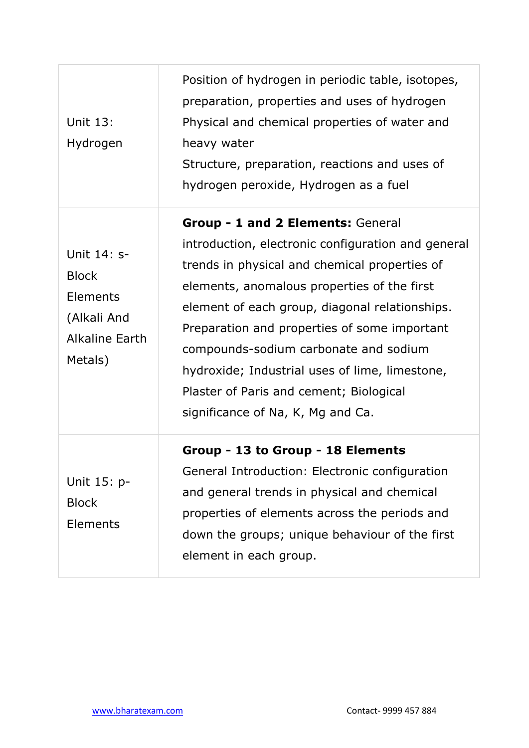| <b>Unit 13:</b><br>Hydrogen                                                                | Position of hydrogen in periodic table, isotopes,<br>preparation, properties and uses of hydrogen<br>Physical and chemical properties of water and<br>heavy water<br>Structure, preparation, reactions and uses of<br>hydrogen peroxide, Hydrogen as a fuel                                                                                                                                                                                                          |
|--------------------------------------------------------------------------------------------|----------------------------------------------------------------------------------------------------------------------------------------------------------------------------------------------------------------------------------------------------------------------------------------------------------------------------------------------------------------------------------------------------------------------------------------------------------------------|
| Unit 14: s-<br><b>Block</b><br>Elements<br>(Alkali And<br><b>Alkaline Earth</b><br>Metals) | Group - 1 and 2 Elements: General<br>introduction, electronic configuration and general<br>trends in physical and chemical properties of<br>elements, anomalous properties of the first<br>element of each group, diagonal relationships.<br>Preparation and properties of some important<br>compounds-sodium carbonate and sodium<br>hydroxide; Industrial uses of lime, limestone,<br>Plaster of Paris and cement; Biological<br>significance of Na, K, Mg and Ca. |
| Unit 15: p-<br><b>Block</b><br>Elements                                                    | Group - 13 to Group - 18 Elements<br>General Introduction: Electronic configuration<br>and general trends in physical and chemical<br>properties of elements across the periods and<br>down the groups; unique behaviour of the first<br>element in each group.                                                                                                                                                                                                      |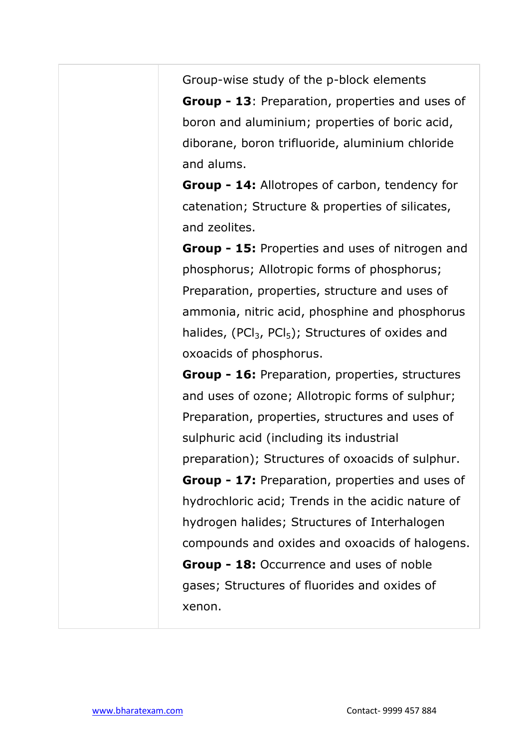Group-wise study of the p-block elements **Group - 13**: Preparation, properties and uses of boron and aluminium; properties of boric acid, diborane, boron trifluoride, aluminium chloride and alums.

**Group - 14:** Allotropes of carbon, tendency for catenation; Structure & properties of silicates, and zeolites.

**Group - 15:** Properties and uses of nitrogen and phosphorus; Allotropic forms of phosphorus; Preparation, properties, structure and uses of ammonia, nitric acid, phosphine and phosphorus halides, (PCl<sub>3</sub>, PCl<sub>5</sub>); Structures of oxides and oxoacids of phosphorus.

**Group - 16:** Preparation, properties, structures and uses of ozone; Allotropic forms of sulphur; Preparation, properties, structures and uses of sulphuric acid (including its industrial preparation); Structures of oxoacids of sulphur. **Group - 17:** Preparation, properties and uses of hydrochloric acid; Trends in the acidic nature of hydrogen halides; Structures of Interhalogen compounds and oxides and oxoacids of halogens. **Group - 18:** Occurrence and uses of noble gases; Structures of fluorides and oxides of xenon.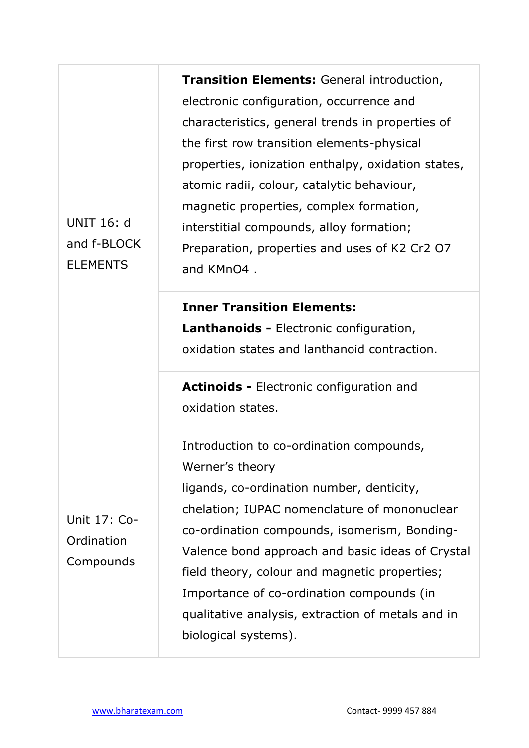| <b>UNIT 16: d</b><br>and f-BLOCK<br><b>ELEMENTS</b> | Transition Elements: General introduction,<br>electronic configuration, occurrence and<br>characteristics, general trends in properties of<br>the first row transition elements-physical<br>properties, ionization enthalpy, oxidation states,<br>atomic radii, colour, catalytic behaviour,<br>magnetic properties, complex formation,<br>interstitial compounds, alloy formation;<br>Preparation, properties and uses of K2 Cr2 O7<br>and KMnO4.<br><b>Inner Transition Elements:</b><br><b>Lanthanoids - Electronic configuration,</b><br>oxidation states and lanthanoid contraction. |
|-----------------------------------------------------|-------------------------------------------------------------------------------------------------------------------------------------------------------------------------------------------------------------------------------------------------------------------------------------------------------------------------------------------------------------------------------------------------------------------------------------------------------------------------------------------------------------------------------------------------------------------------------------------|
|                                                     | <b>Actinoids - Electronic configuration and</b><br>oxidation states.                                                                                                                                                                                                                                                                                                                                                                                                                                                                                                                      |
| Unit 17: Co-<br>Ordination<br>Compounds             | Introduction to co-ordination compounds,<br>Werner's theory<br>ligands, co-ordination number, denticity,<br>chelation; IUPAC nomenclature of mononuclear<br>co-ordination compounds, isomerism, Bonding-<br>Valence bond approach and basic ideas of Crystal<br>field theory, colour and magnetic properties;<br>Importance of co-ordination compounds (in<br>qualitative analysis, extraction of metals and in<br>biological systems).                                                                                                                                                   |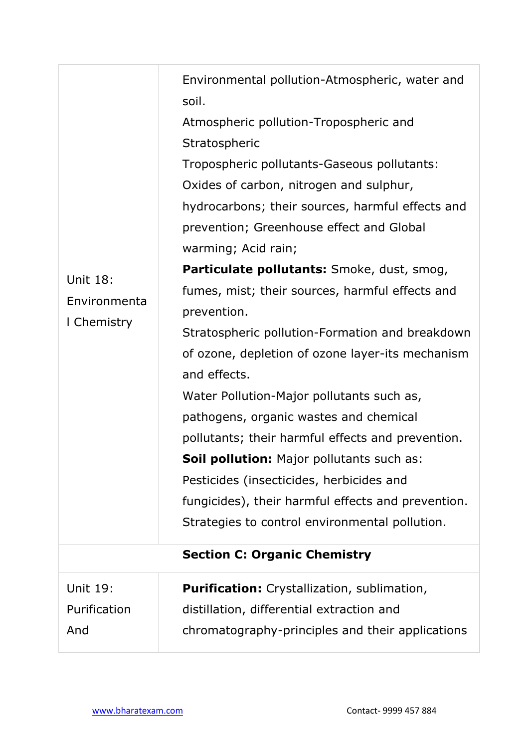| <b>Unit 18:</b><br>Environmenta<br>I Chemistry | Environmental pollution-Atmospheric, water and<br>soil.<br>Atmospheric pollution-Tropospheric and<br>Stratospheric<br>Tropospheric pollutants-Gaseous pollutants:<br>Oxides of carbon, nitrogen and sulphur,<br>hydrocarbons; their sources, harmful effects and<br>prevention; Greenhouse effect and Global<br>warming; Acid rain;<br>Particulate pollutants: Smoke, dust, smog,<br>fumes, mist; their sources, harmful effects and<br>prevention.<br>Stratospheric pollution-Formation and breakdown<br>of ozone, depletion of ozone layer-its mechanism<br>and effects.<br>Water Pollution-Major pollutants such as,<br>pathogens, organic wastes and chemical<br>pollutants; their harmful effects and prevention.<br>Soil pollution: Major pollutants such as:<br>Pesticides (insecticides, herbicides and<br>fungicides), their harmful effects and prevention.<br>Strategies to control environmental pollution.<br><b>Section C: Organic Chemistry</b> |
|------------------------------------------------|----------------------------------------------------------------------------------------------------------------------------------------------------------------------------------------------------------------------------------------------------------------------------------------------------------------------------------------------------------------------------------------------------------------------------------------------------------------------------------------------------------------------------------------------------------------------------------------------------------------------------------------------------------------------------------------------------------------------------------------------------------------------------------------------------------------------------------------------------------------------------------------------------------------------------------------------------------------|
|                                                |                                                                                                                                                                                                                                                                                                                                                                                                                                                                                                                                                                                                                                                                                                                                                                                                                                                                                                                                                                |
| <b>Unit 19:</b><br>Purification<br>And         | <b>Purification:</b> Crystallization, sublimation,<br>distillation, differential extraction and<br>chromatography-principles and their applications                                                                                                                                                                                                                                                                                                                                                                                                                                                                                                                                                                                                                                                                                                                                                                                                            |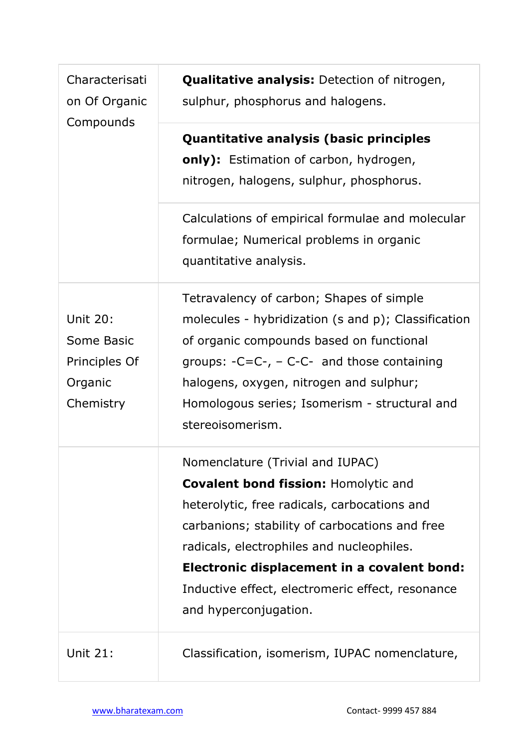| Characterisati<br>on Of Organic<br>Compounds                           | <b>Qualitative analysis:</b> Detection of nitrogen,<br>sulphur, phosphorus and halogens.                                                                                                                                                                                                                                                                   |
|------------------------------------------------------------------------|------------------------------------------------------------------------------------------------------------------------------------------------------------------------------------------------------------------------------------------------------------------------------------------------------------------------------------------------------------|
|                                                                        | Quantitative analysis (basic principles<br>only): Estimation of carbon, hydrogen,<br>nitrogen, halogens, sulphur, phosphorus.                                                                                                                                                                                                                              |
|                                                                        | Calculations of empirical formulae and molecular<br>formulae; Numerical problems in organic<br>quantitative analysis.                                                                                                                                                                                                                                      |
| <b>Unit 20:</b><br>Some Basic<br>Principles Of<br>Organic<br>Chemistry | Tetravalency of carbon; Shapes of simple<br>molecules - hybridization (s and p); Classification<br>of organic compounds based on functional<br>groups: $-C=C-$ , $-C-C-$ and those containing<br>halogens, oxygen, nitrogen and sulphur;<br>Homologous series; Isomerism - structural and<br>stereoisomerism.                                              |
|                                                                        | Nomenclature (Trivial and IUPAC)<br><b>Covalent bond fission: Homolytic and</b><br>heterolytic, free radicals, carbocations and<br>carbanions; stability of carbocations and free<br>radicals, electrophiles and nucleophiles.<br>Electronic displacement in a covalent bond:<br>Inductive effect, electromeric effect, resonance<br>and hyperconjugation. |
| <b>Unit 21:</b>                                                        | Classification, isomerism, IUPAC nomenclature,                                                                                                                                                                                                                                                                                                             |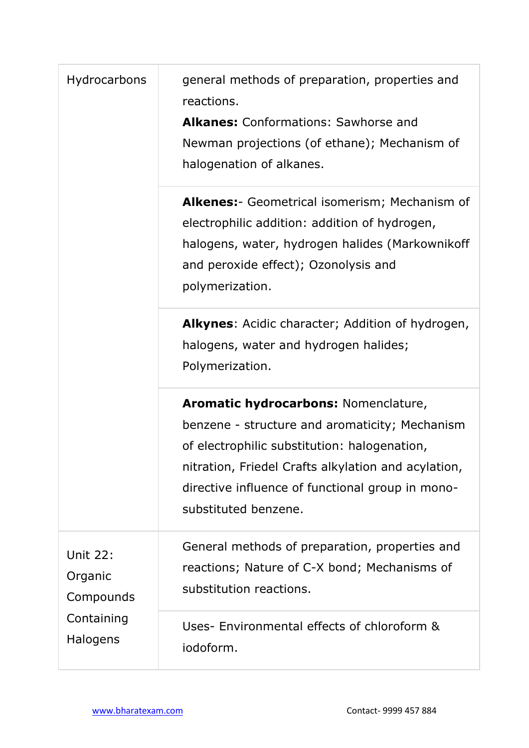| Hydrocarbons                                                      | general methods of preparation, properties and<br>reactions.<br><b>Alkanes:</b> Conformations: Sawhorse and<br>Newman projections (of ethane); Mechanism of<br>halogenation of alkanes.                                                                                   |
|-------------------------------------------------------------------|---------------------------------------------------------------------------------------------------------------------------------------------------------------------------------------------------------------------------------------------------------------------------|
|                                                                   | Alkenes: - Geometrical isomerism; Mechanism of<br>electrophilic addition: addition of hydrogen,<br>halogens, water, hydrogen halides (Markownikoff<br>and peroxide effect); Ozonolysis and<br>polymerization.                                                             |
|                                                                   | <b>Alkynes:</b> Acidic character; Addition of hydrogen,<br>halogens, water and hydrogen halides;<br>Polymerization.                                                                                                                                                       |
|                                                                   | Aromatic hydrocarbons: Nomenclature,<br>benzene - structure and aromaticity; Mechanism<br>of electrophilic substitution: halogenation,<br>nitration, Friedel Crafts alkylation and acylation,<br>directive influence of functional group in mono-<br>substituted benzene. |
| <b>Unit 22:</b><br>Organic<br>Compounds<br>Containing<br>Halogens | General methods of preparation, properties and<br>reactions; Nature of C-X bond; Mechanisms of<br>substitution reactions.                                                                                                                                                 |
|                                                                   | Uses- Environmental effects of chloroform &<br>iodoform.                                                                                                                                                                                                                  |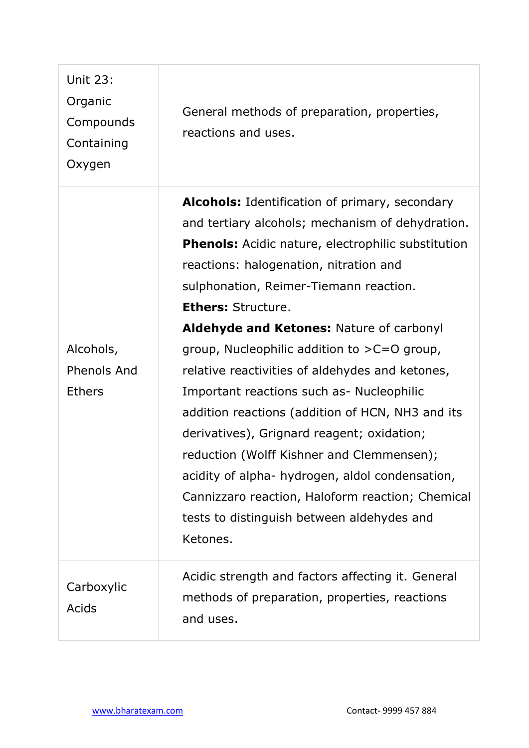| Unit 23:<br>Organic<br>Compounds<br>Containing<br>Oxygen | General methods of preparation, properties,<br>reactions and uses.                                                                                                                                                                                                                                                                                                                                                                                                                                                                                                                                                                                                                                                                                                                            |
|----------------------------------------------------------|-----------------------------------------------------------------------------------------------------------------------------------------------------------------------------------------------------------------------------------------------------------------------------------------------------------------------------------------------------------------------------------------------------------------------------------------------------------------------------------------------------------------------------------------------------------------------------------------------------------------------------------------------------------------------------------------------------------------------------------------------------------------------------------------------|
| Alcohols,<br><b>Phenols And</b><br><b>Ethers</b>         | Alcohols: Identification of primary, secondary<br>and tertiary alcohols; mechanism of dehydration.<br><b>Phenols:</b> Acidic nature, electrophilic substitution<br>reactions: halogenation, nitration and<br>sulphonation, Reimer-Tiemann reaction.<br><b>Ethers: Structure.</b><br>Aldehyde and Ketones: Nature of carbonyl<br>group, Nucleophilic addition to $>C=O$ group,<br>relative reactivities of aldehydes and ketones,<br>Important reactions such as- Nucleophilic<br>addition reactions (addition of HCN, NH3 and its<br>derivatives), Grignard reagent; oxidation;<br>reduction (Wolff Kishner and Clemmensen);<br>acidity of alpha- hydrogen, aldol condensation,<br>Cannizzaro reaction, Haloform reaction; Chemical<br>tests to distinguish between aldehydes and<br>Ketones. |
| Carboxylic<br>Acids                                      | Acidic strength and factors affecting it. General<br>methods of preparation, properties, reactions<br>and uses.                                                                                                                                                                                                                                                                                                                                                                                                                                                                                                                                                                                                                                                                               |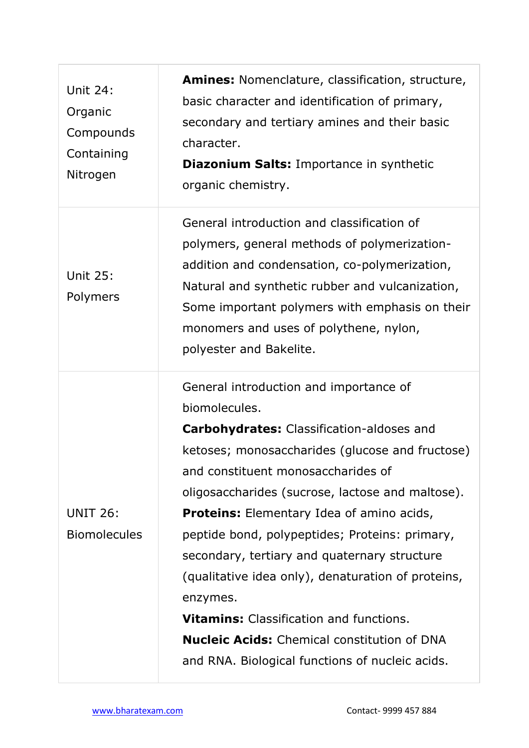| Unit 24:<br>Organic<br>Compounds<br>Containing<br>Nitrogen | <b>Amines:</b> Nomenclature, classification, structure,<br>basic character and identification of primary,<br>secondary and tertiary amines and their basic<br>character.<br><b>Diazonium Salts: Importance in synthetic</b><br>organic chemistry.                                                                                                                                                                                                                                                                                                                                                                                           |
|------------------------------------------------------------|---------------------------------------------------------------------------------------------------------------------------------------------------------------------------------------------------------------------------------------------------------------------------------------------------------------------------------------------------------------------------------------------------------------------------------------------------------------------------------------------------------------------------------------------------------------------------------------------------------------------------------------------|
| <b>Unit 25:</b><br>Polymers                                | General introduction and classification of<br>polymers, general methods of polymerization-<br>addition and condensation, co-polymerization,<br>Natural and synthetic rubber and vulcanization,<br>Some important polymers with emphasis on their<br>monomers and uses of polythene, nylon,<br>polyester and Bakelite.                                                                                                                                                                                                                                                                                                                       |
| <b>UNIT 26:</b><br><b>Biomolecules</b>                     | General introduction and importance of<br>biomolecules.<br><b>Carbohydrates:</b> Classification-aldoses and<br>ketoses; monosaccharides (glucose and fructose)<br>and constituent monosaccharides of<br>oligosaccharides (sucrose, lactose and maltose).<br><b>Proteins:</b> Elementary Idea of amino acids,<br>peptide bond, polypeptides; Proteins: primary,<br>secondary, tertiary and quaternary structure<br>(qualitative idea only), denaturation of proteins,<br>enzymes.<br><b>Vitamins:</b> Classification and functions.<br><b>Nucleic Acids:</b> Chemical constitution of DNA<br>and RNA. Biological functions of nucleic acids. |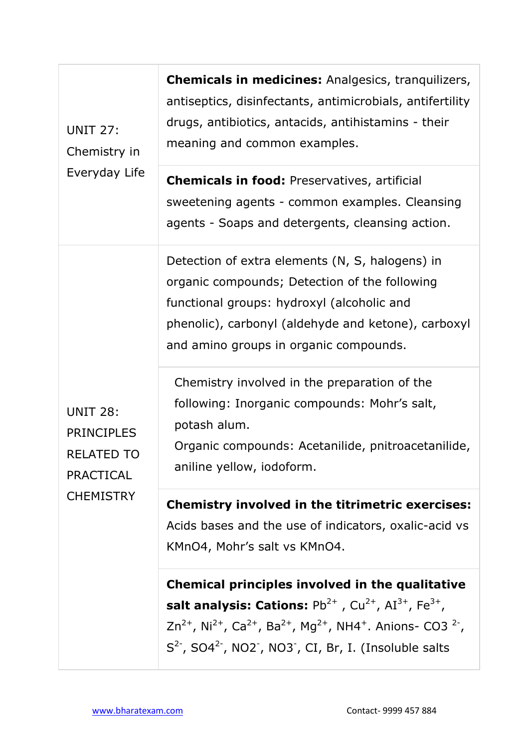| <b>UNIT 27:</b><br>Chemistry in<br>Everyday Life                                                  | <b>Chemicals in medicines:</b> Analgesics, tranquilizers,<br>antiseptics, disinfectants, antimicrobials, antifertility<br>drugs, antibiotics, antacids, antihistamins - their<br>meaning and common examples.                                                                                                                                                                             |
|---------------------------------------------------------------------------------------------------|-------------------------------------------------------------------------------------------------------------------------------------------------------------------------------------------------------------------------------------------------------------------------------------------------------------------------------------------------------------------------------------------|
|                                                                                                   | <b>Chemicals in food: Preservatives, artificial</b><br>sweetening agents - common examples. Cleansing<br>agents - Soaps and detergents, cleansing action.                                                                                                                                                                                                                                 |
| <b>UNIT 28:</b><br><b>PRINCIPLES</b><br><b>RELATED TO</b><br><b>PRACTICAL</b><br><b>CHEMISTRY</b> | Detection of extra elements (N, S, halogens) in<br>organic compounds; Detection of the following<br>functional groups: hydroxyl (alcoholic and<br>phenolic), carbonyl (aldehyde and ketone), carboxyl<br>and amino groups in organic compounds.                                                                                                                                           |
|                                                                                                   | Chemistry involved in the preparation of the<br>following: Inorganic compounds: Mohr's salt,<br>potash alum.<br>Organic compounds: Acetanilide, pnitroacetanilide,<br>aniline yellow, iodoform.                                                                                                                                                                                           |
|                                                                                                   | <b>Chemistry involved in the titrimetric exercises:</b><br>Acids bases and the use of indicators, oxalic-acid vs<br>KMnO4, Mohr's salt vs KMnO4.                                                                                                                                                                                                                                          |
|                                                                                                   | Chemical principles involved in the qualitative<br>salt analysis: Cations: $Pb^{2+}$ , Cu <sup>2+</sup> , AI <sup>3+</sup> , Fe <sup>3+</sup> ,<br>$Zn^{2+}$ , Ni <sup>2+</sup> , Ca <sup>2+</sup> , Ba <sup>2+</sup> , Mg <sup>2+</sup> , NH4 <sup>+</sup> . Anions- CO3 <sup>2-</sup> ,<br>$S2$ , SO4 <sup>2-</sup> , NO2 <sup>-</sup> , NO3 <sup>-</sup> , CI, Br, I. (Insoluble salts |